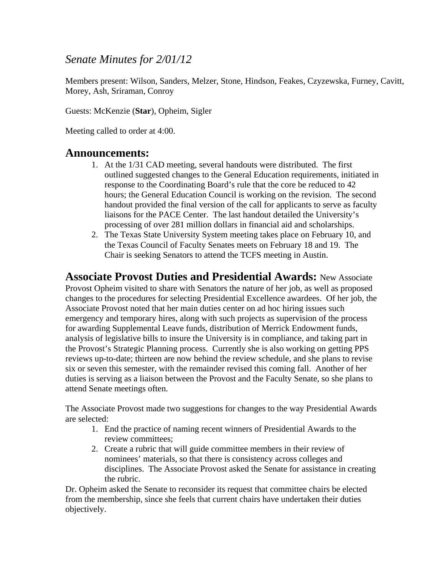## *Senate Minutes for 2/01/12*

Members present: Wilson, Sanders, Melzer, Stone, Hindson, Feakes, Czyzewska, Furney, Cavitt, Morey, Ash, Sriraman, Conroy

Guests: McKenzie (**Star**), Opheim, Sigler

Meeting called to order at 4:00.

### **Announcements:**

- 1. At the 1/31 CAD meeting, several handouts were distributed. The first outlined suggested changes to the General Education requirements, initiated in response to the Coordinating Board's rule that the core be reduced to 42 hours; the General Education Council is working on the revision. The second handout provided the final version of the call for applicants to serve as faculty liaisons for the PACE Center. The last handout detailed the University's processing of over 281 million dollars in financial aid and scholarships.
- 2. The Texas State University System meeting takes place on February 10, and the Texas Council of Faculty Senates meets on February 18 and 19. The Chair is seeking Senators to attend the TCFS meeting in Austin.

**Associate Provost Duties and Presidential Awards:** New Associate Provost Opheim visited to share with Senators the nature of her job, as well as proposed changes to the procedures for selecting Presidential Excellence awardees. Of her job, the Associate Provost noted that her main duties center on ad hoc hiring issues such emergency and temporary hires, along with such projects as supervision of the process for awarding Supplemental Leave funds, distribution of Merrick Endowment funds, analysis of legislative bills to insure the University is in compliance, and taking part in the Provost's Strategic Planning process. Currently she is also working on getting PPS reviews up-to-date; thirteen are now behind the review schedule, and she plans to revise six or seven this semester, with the remainder revised this coming fall. Another of her duties is serving as a liaison between the Provost and the Faculty Senate, so she plans to attend Senate meetings often.

The Associate Provost made two suggestions for changes to the way Presidential Awards are selected:

- 1. End the practice of naming recent winners of Presidential Awards to the review committees;
- 2. Create a rubric that will guide committee members in their review of nominees' materials, so that there is consistency across colleges and disciplines. The Associate Provost asked the Senate for assistance in creating the rubric.

Dr. Opheim asked the Senate to reconsider its request that committee chairs be elected from the membership, since she feels that current chairs have undertaken their duties objectively.